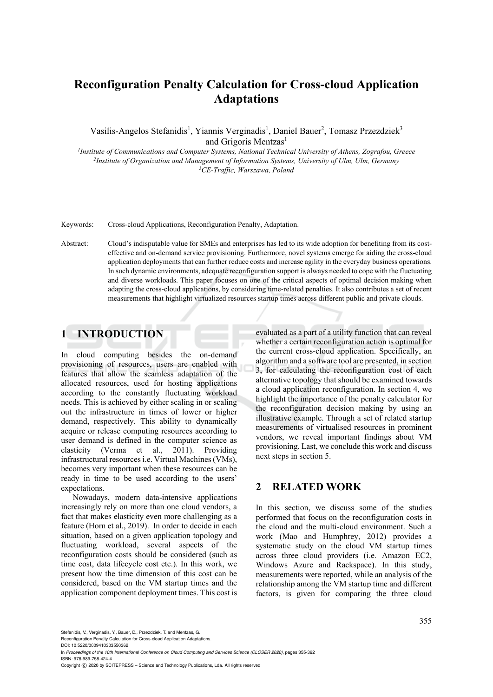# **Reconfiguration Penalty Calculation for Cross-cloud Application Adaptations**

Vasilis-Angelos Stefanidis<sup>1</sup>, Yiannis Verginadis<sup>1</sup>, Daniel Bauer<sup>2</sup>, Tomasz Przezdziek<sup>3</sup> and Grigoris Mentzas<sup>1</sup><br>Institute of Communications and Computer Systems, National Technical University of Athens, Zografou, Greece<sup>1</sup>

<sup>2</sup>Institute of Organization and Management of Information Systems, University of Ulm, Ulm, Germany *CE-Traffic, Warszawa, Poland* 

Keywords: Cross-cloud Applications, Reconfiguration Penalty, Adaptation.

Abstract: Cloud's indisputable value for SMEs and enterprises has led to its wide adoption for benefiting from its costeffective and on-demand service provisioning. Furthermore, novel systems emerge for aiding the cross-cloud application deployments that can further reduce costs and increase agility in the everyday business operations. In such dynamic environments, adequate reconfiguration support is always needed to cope with the fluctuating and diverse workloads. This paper focuses on one of the critical aspects of optimal decision making when adapting the cross-cloud applications, by considering time-related penalties. It also contributes a set of recent measurements that highlight virtualized resources startup times across different public and private clouds.

# **1 INTRODUCTION**

In cloud computing besides the on-demand provisioning of resources, users are enabled with features that allow the seamless adaptation of the allocated resources, used for hosting applications according to the constantly fluctuating workload needs. This is achieved by either scaling in or scaling out the infrastructure in times of lower or higher demand, respectively. This ability to dynamically acquire or release computing resources according to user demand is defined in the computer science as elasticity (Verma et al., 2011). Providing infrastructural resources i.e. Virtual Machines (VMs), becomes very important when these resources can be ready in time to be used according to the users' expectations.

Nowadays, modern data-intensive applications increasingly rely on more than one cloud vendors, a fact that makes elasticity even more challenging as a feature (Horn et al., 2019). In order to decide in each situation, based on a given application topology and fluctuating workload, several aspects of the reconfiguration costs should be considered (such as time cost, data lifecycle cost etc.). In this work, we present how the time dimension of this cost can be considered, based on the VM startup times and the application component deployment times. This cost is

evaluated as a part of a utility function that can reveal whether a certain reconfiguration action is optimal for the current cross-cloud application. Specifically, an algorithm and a software tool are presented, in section 3, for calculating the reconfiguration cost of each alternative topology that should be examined towards a cloud application reconfiguration. In section 4, we highlight the importance of the penalty calculator for the reconfiguration decision making by using an illustrative example. Through a set of related startup measurements of virtualised resources in prominent vendors, we reveal important findings about VM provisioning. Last, we conclude this work and discuss next steps in section 5.

# **2 RELATED WORK**

In this section, we discuss some of the studies performed that focus on the reconfiguration costs in the cloud and the multi-cloud environment. Such a work (Mao and Humphrey, 2012) provides a systematic study on the cloud VM startup times across three cloud providers (i.e. Amazon EC2, Windows Azure and Rackspace). In this study, measurements were reported, while an analysis of the relationship among the VM startup time and different factors, is given for comparing the three cloud

Stefanidis, V., Verginadis, Y., Bauer, D., Przezdziek, T. and Mentzas, G.

Reconfiguration Penalty Calculation for Cross-cloud Application Adaptations.

DOI: 10.5220/0009410303550362

In *Proceedings of the 10th International Conference on Cloud Computing and Services Science (CLOSER 2020)*, pages 355-362 ISBN: 978-989-758-424-4

Copyright (C) 2020 by SCITEPRESS - Science and Technology Publications, Lda. All rights reserved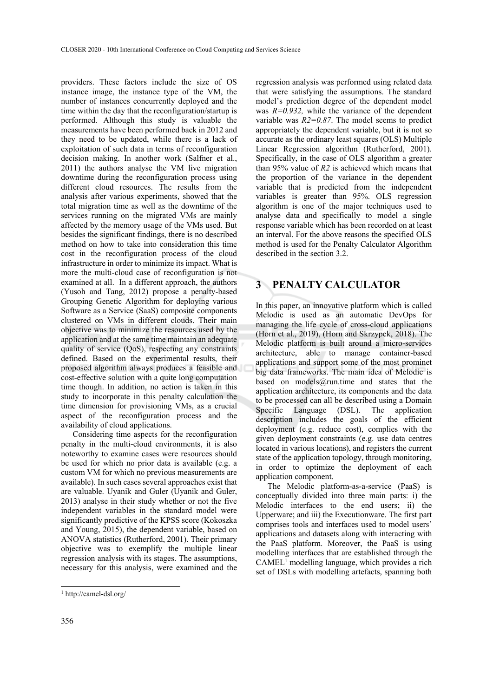providers. These factors include the size of OS instance image, the instance type of the VM, the number of instances concurrently deployed and the time within the day that the reconfiguration/startup is performed. Although this study is valuable the measurements have been performed back in 2012 and they need to be updated, while there is a lack of exploitation of such data in terms of reconfiguration decision making. In another work (Salfner et al., 2011) the authors analyse the VM live migration downtime during the reconfiguration process using different cloud resources. The results from the analysis after various experiments, showed that the total migration time as well as the downtime of the services running on the migrated VMs are mainly affected by the memory usage of the VMs used. But besides the significant findings, there is no described method on how to take into consideration this time cost in the reconfiguration process of the cloud infrastructure in order to minimize its impact. What is more the multi-cloud case of reconfiguration is not examined at all. In a different approach, the authors (Yusoh and Tang, 2012) propose a penalty-based Grouping Genetic Algorithm for deploying various Software as a Service (SaaS) composite components clustered on VMs in different clouds. Their main objective was to minimize the resources used by the application and at the same time maintain an adequate quality of service (QoS), respecting any constraints defined. Based on the experimental results, their proposed algorithm always produces a feasible and cost-effective solution with a quite long computation time though. In addition, no action is taken in this study to incorporate in this penalty calculation the time dimension for provisioning VMs, as a crucial aspect of the reconfiguration process and the availability of cloud applications.

Considering time aspects for the reconfiguration penalty in the multi-cloud environments, it is also noteworthy to examine cases were resources should be used for which no prior data is available (e.g. a custom VM for which no previous measurements are available). In such cases several approaches exist that are valuable. Uyanik and Guler (Uyanik and Guler, 2013) analyse in their study whether or not the five independent variables in the standard model were significantly predictive of the KPSS score (Kokoszka and Young, 2015), the dependent variable, based on ANOVA statistics (Rutherford, 2001). Their primary objective was to exemplify the multiple linear regression analysis with its stages. The assumptions, necessary for this analysis, were examined and the

regression analysis was performed using related data that were satisfying the assumptions. The standard model's prediction degree of the dependent model was *R=0.932,* while the variance of the dependent variable was *R2=0.87*. The model seems to predict appropriately the dependent variable, but it is not so accurate as the ordinary least squares (OLS) Multiple Linear Regression algorithm (Rutherford, 2001). Specifically, in the case of OLS algorithm a greater than 95% value of *R2* is achieved which means that the proportion of the variance in the dependent variable that is predicted from the independent variables is greater than 95%. OLS regression algorithm is one of the major techniques used to analyse data and specifically to model a single response variable which has been recorded on at least an interval. For the above reasons the specified OLS method is used for the Penalty Calculator Algorithm described in the section 3.2.

# **3 PENALTY CALCULATOR**

In this paper, an innovative platform which is called Melodic is used as an automatic DevOps for managing the life cycle of cross-cloud applications (Horn et al., 2019), (Horn and Skrzypek, 2018). The Melodic platform is built around a micro-services architecture, able to manage container-based applications and support some of the most prominet big data frameworks. The main idea of Melodic is based on models@run.time and states that the application architecture, its components and the data to be processed can all be described using a Domain Specific Language (DSL). The application description includes the goals of the efficient deployment (e.g. reduce cost), complies with the given deployment constraints (e.g. use data centres located in various locations), and registers the current state of the application topology, through monitoring, in order to optimize the deployment of each application component.

The Melodic platform-as-a-service (PaaS) is conceptually divided into three main parts: i) the Melodic interfaces to the end users; ii) the Upperware; and iii) the Executionware. The first part comprises tools and interfaces used to model users' applications and datasets along with interacting with the PaaS platform. Moreover, the PaaS is using modelling interfaces that are established through the CAMEL<sup>1</sup> modelling language, which provides a rich set of DSLs with modelling artefacts, spanning both

 $\overline{a}$ 

<sup>1</sup> http://camel-dsl.org/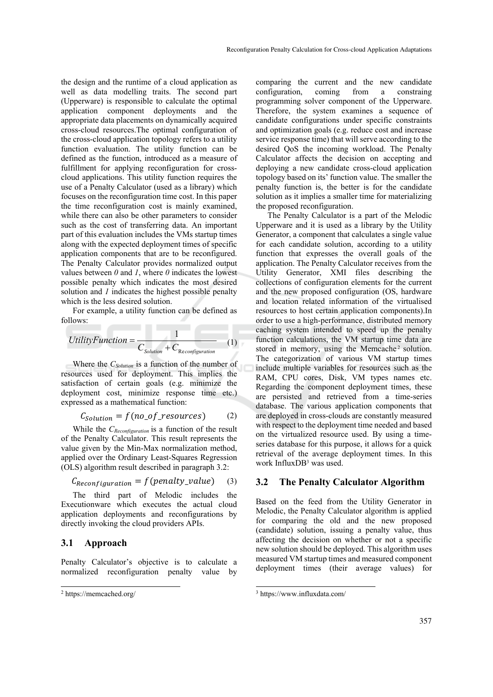the design and the runtime of a cloud application as well as data modelling traits. The second part (Upperware) is responsible to calculate the optimal application component deployments and the appropriate data placements on dynamically acquired cross-cloud resources.The optimal configuration of the cross-cloud application topology refers to a utility function evaluation. The utility function can be defined as the function, introduced as a measure of fulfillment for applying reconfiguration for crosscloud applications. This utility function requires the use of a Penalty Calculator (used as a library) which focuses on the reconfiguration time cost. In this paper the time reconfiguration cost is mainly examined, while there can also be other parameters to consider such as the cost of transferring data. An important part of this evaluation includes the VMs startup times along with the expected deployment times of specific application components that are to be reconfigured. The Penalty Calculator provides normalized output values between *0* and *1*, where *0* indicates the lowest possible penalty which indicates the most desired solution and *1* indicates the highest possible penalty which is the less desired solution.

For example, a utility function can be defined as follows:

$$
UtilityFunction = \frac{1}{C_{Solution} + C_{Reconfiguration}}
$$
 (1)

Where the *C<sub>Solution</sub>* is a function of the number of resources used for deployment. This implies the satisfaction of certain goals (e.g. minimize the deployment cost, minimize response time etc.) expressed as a mathematical function:

$$
C_{Solution} = f(no_of\_resources)
$$
 (2)

While the *CReconfiguration* is a function of the result of the Penalty Calculator. This result represents the value given by the Min-Max normalization method, applied over the Ordinary Least-Squares Regression (OLS) algorithm result described in paragraph 3.2:

$$
C_{Reconfiguration} = f(penalty_value) \quad (3)
$$

The third part of Melodic includes the Executionware which executes the actual cloud application deployments and reconfigurations by directly invoking the cloud providers APIs.

#### **3.1 Approach**

Penalty Calculator's objective is to calculate a normalized reconfiguration penalty value by

 $\overline{a}$ 

comparing the current and the new candidate configuration, coming from a constraing programming solver component of the Upperware. Therefore, the system examines a sequence of candidate configurations under specific constraints and optimization goals (e.g. reduce cost and increase service response time) that will serve according to the desired QoS the incoming workload. The Penalty Calculator affects the decision on accepting and deploying a new candidate cross-cloud application topology based on its' function value. The smaller the penalty function is, the better is for the candidate solution as it implies a smaller time for materializing the proposed reconfiguration.

The Penalty Calculator is a part of the Melodic Upperware and it is used as a library by the Utility Generator, a component that calculates a single value for each candidate solution, according to a utility function that expresses the overall goals of the application. The Penalty Calculator receives from the Utility Generator, XMI files describing the collections of configuration elements for the current and the new proposed configuration (OS, hardware and location related information of the virtualised resources to host certain application components).In order to use a high-performance, distributed memory caching system intended to speed up the penalty function calculations, the VM startup time data are stored in memory, using the Memcache<sup>2</sup> solution. The categorization of various VM startup times include multiple variables for resources such as the RAM, CPU cores, Disk, VM types names etc. Regarding the component deployment times, these are persisted and retrieved from a time-series database. The various application components that are deployed in cross-clouds are constantly measured with respect to the deployment time needed and based on the virtualized resource used. By using a timeseries database for this purpose, it allows for a quick retrieval of the average deployment times. In this work InfluxDB3 was used.

#### **3.2 The Penalty Calculator Algorithm**

Based on the feed from the Utility Generator in Melodic, the Penalty Calculator algorithm is applied for comparing the old and the new proposed (candidate) solution, issuing a penalty value, thus affecting the decision on whether or not a specific new solution should be deployed. This algorithm uses measured VM startup times and measured component deployment times (their average values) for

<sup>2</sup> https://memcached.org/

<sup>3</sup> https://www.influxdata.com/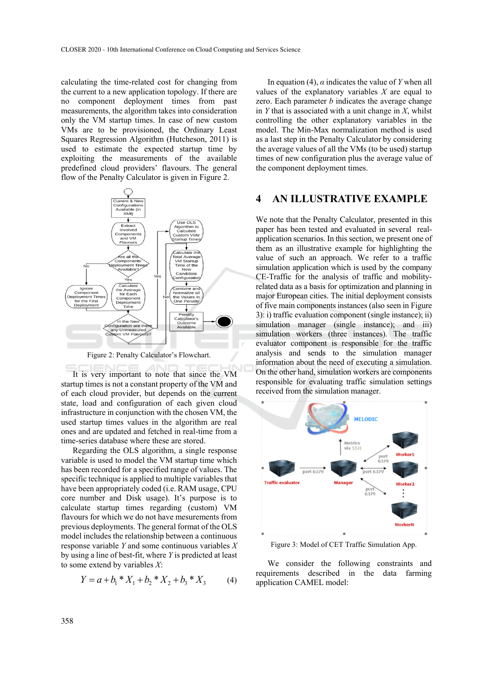calculating the time-related cost for changing from the current to a new application topology. If there are no component deployment times from past measurements, the algorithm takes into consideration only the VM startup times. In case of new custom VMs are to be provisioned, the Ordinary Least Squares Regression Algorithm (Hutcheson, 2011) is used to estimate the expected startup time by exploiting the measurements of the available predefined cloud providers' flavours. The general flow of the Penalty Calculator is given in Figure 2.



Figure 2: Penalty Calculator's Flowchart.

It is very important to note that since the VM startup times is not a constant property of the VM and of each cloud provider, but depends on the current state, load and configuration of each given cloud infrastructure in conjunction with the chosen VM, the used startup times values in the algorithm are real ones and are updated and fetched in real-time from a time-series database where these are stored.

Regarding the OLS algorithm, a single response variable is used to model the VM startup time which has been recorded for a specified range of values. The specific technique is applied to multiple variables that have been appropriately coded (i.e. RAM usage, CPU core number and Disk usage). It's purpose is to calculate startup times regarding (custom) VM flavours for which we do not have mesurements from previous deployments. The general format of the OLS model includes the relationship between a continuous response variable *Y* and some continuous variables *X* by using a line of best-fit, where *Y* is predicted at least to some extend by variables *X*:

$$
Y = a + b_1 * X_1 + b_2 * X_2 + b_3 * X_3 \tag{4}
$$

In equation (4),  $\alpha$  indicates the value of *Y* when all values of the explanatory variables *X* are equal to zero. Each parameter *b* indicates the average change in *Y* that is associated with a unit change in *X*, whilst controlling the other explanatory variables in the model. The Min-Max normalization method is used as a last step in the Penalty Calculator by considering the average values of all the VMs (to be used) startup times of new configuration plus the average value of the component deployment times.

## **4 AN ILLUSTRATIVE EXAMPLE**

We note that the Penalty Calculator, presented in this paper has been tested and evaluated in several realapplication scenarios. In this section, we present one of them as an illustrative example for highlighting the value of such an approach. We refer to a traffic simulation application which is used by the company CE-Traffic for the analysis of traffic and mobilityrelated data as a basis for optimization and planning in major European cities. The initial deployment consists of five main components instances (also seen in Figure 3): i) traffic evaluation component (single instance); ii) simulation manager (single instance); and iii) simulation workers (three instances). The traffic evaluator component is responsible for the traffic analysis and sends to the simulation manager information about the need of executing a simulation. On the other hand, simulation workers are components responsible for evaluating traffic simulation settings received from the simulation manager.



Figure 3: Model of CET Traffic Simulation App.

We consider the following constraints and requirements described in the data farming application CAMEL model: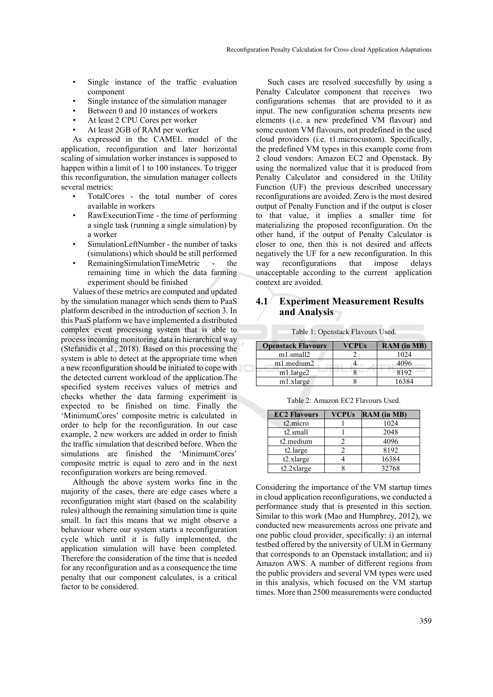- Single instance of the traffic evaluation component
- Single instance of the simulation manager
- Between 0 and 10 instances of workers
- At least 2 CPU Cores per worker
- At least 2GB of RAM per worker

As expressed in the CAMEL model of the application, reconfiguration and later horizontal scaling of simulation worker instances is supposed to happen within a limit of 1 to 100 instances. To trigger this reconfiguration, the simulation manager collects several metrics:

- TotalCores the total number of cores available in workers
- RawExecutionTime the time of performing a single task (running a single simulation) by a worker
- SimulationLeftNumber the number of tasks (simulations) which should be still performed
- RemainingSimulationTimeMetric the remaining time in which the data farming experiment should be finished

Values of these metrics are computed and updated by the simulation manager which sends them to PaaS platform described in the introduction of section 3. In this PaaS platform we have implemented a distributed complex event processing system that is able to process incoming monitoring data in hierarchical way (Stefanidis et al., 2018). Based on this processing the system is able to detect at the appropriate time when a new reconfiguration should be initiated to cope with the detected current workload of the application.The specified system receives values of metrics and checks whether the data farming experiment is expected το be finished on time. Finally the 'MinimumCores' composite metric is calculated in order to help for the reconfiguration. In our case example, 2 new workers are added in order to finish the traffic simulation that described before. When the simulations are finished the 'MinimumCores' composite metric is equal to zero and in the next reconfiguration workers are being removed.

Although the above system works fine in the majority of the cases, there are edge cases where a reconfiguration might start (based on the scalability rules) although the remaining simulation time is quite small. In fact this means that we might observe a behaviour where our system starts a reconfiguration cycle which until it is fully implemented, the application simulation will have been completed. Therefore the consideration of the time that is needed for any reconfiguration and as a consequence the time penalty that our component calculates, is a critical factor to be considered.

Such cases are resolved succesfully by using a Penalty Calculator component that receives two configurations schemas that are provided to it as input. The new configuration schema presents new elements (i.e. a new predefined VM flavour) and some custom VM flavours, not predefined in the used cloud providers (i.e. t1.microcustom). Specifically, the predefined VM types in this example come from 2 cloud vendors: Amazon EC2 and Openstack. By using the normalized value that it is produced from Penalty Calculator and considered in the Utility Function (UF) the previous described unecessary reconfigurations are avoided. Zero is the most desired output of Penalty Function and if the output is closer to that value, it implies a smaller time for materializing the proposed reconfiguration. On the other hand, if the output of Penalty Calculator is closer to one, then this is not desired and affects negatively the UF for a new reconfiguration. In this way reconfigurations that impose delays unacceptable according to the current application context are avoided.

#### **4.1 Experiment Measurement Results and Analysis**

| <b>Openstack Flavours</b> | <b>VCPUs</b> | <b>RAM</b> (in MB) |
|---------------------------|--------------|--------------------|
| m1.small2                 |              | 1024               |
| m1.medium2                |              | 4096               |
| m1.large2                 |              | 8192               |
| m1.xlarge                 |              | 16384              |

Table 1: Openstack Flavours Used.

| <b>EC2 Flavours</b>    | <b>VCPUs</b> | <b>RAM</b> (in MB) |
|------------------------|--------------|--------------------|
| t <sub>2.</sub> micro  |              | 1024               |
| $t2$ .small            |              | 2048               |
| t <sub>2</sub> .medium |              | 4096               |
| t2.large               |              | 8192               |
| $t2$ .xlarge           |              | 16384              |
| $t2.2x$ large          |              | 32768              |

Considering the importance of the VM startup times in cloud application reconfigurations, we conducted a performance study that is presented in this section. Similar to this work (Mao and Humphrey, 2012), we conducted new measurements across one private and one public cloud provider, specifically: i) an internal testbed offered by the university of ULM in Germany that corresponds to an Openstack installation; and ii) Amazon AWS. A number of different regions from the public providers and several VM types were used in this analysis, which focused on the VM startup times. More than 2500 measurements were conducted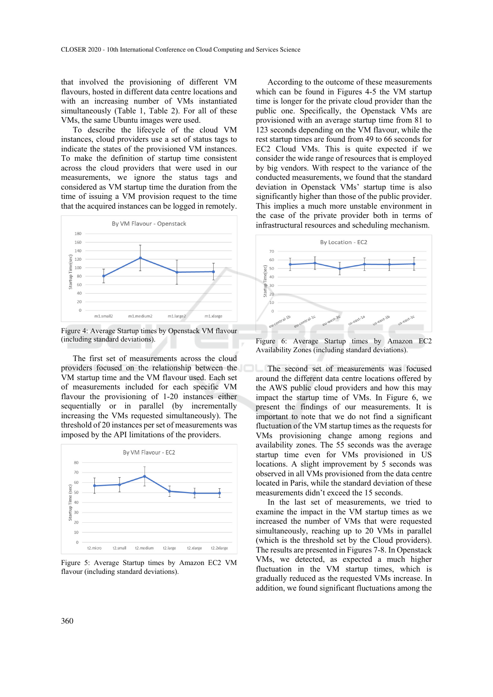that involved the provisioning of different VM flavours, hosted in different data centre locations and with an increasing number of VMs instantiated simultaneously (Table 1, Table 2). For all of these VMs, the same Ubuntu images were used.

To describe the lifecycle of the cloud VM instances, cloud providers use a set of status tags to indicate the states of the provisioned VM instances. To make the definition of startup time consistent across the cloud providers that were used in our measurements, we ignore the status tags and considered as VM startup time the duration from the time of issuing a VM provision request to the time that the acquired instances can be logged in remotely.



Figure 4: Average Startup times by Openstack VM flavour (including standard deviations).

The first set of measurements across the cloud providers focused on the relationship between the The second set of measurements was focused VM startup time and the VM flavour used. Each set of measurements included for each specific VM flavour the provisioning of 1-20 instances either sequentially or in parallel (by incrementally increasing the VMs requested simultaneously). The threshold of 20 instances per set of measurements was imposed by the API limitations of the providers.



Figure 5: Average Startup times by Amazon EC2 VM flavour (including standard deviations).

According to the outcome of these measurements which can be found in Figures 4-5 the VM startup time is longer for the private cloud provider than the public one. Specifically, the Openstack VMs are provisioned with an average startup time from 81 to 123 seconds depending on the VM flavour, while the rest startup times are found from 49 to 66 seconds for EC2 Cloud VMs. This is quite expected if we consider the wide range of resources that is employed by big vendors. With respect to the variance of the conducted measurements, we found that the standard deviation in Openstack VMs' startup time is also significantly higher than those of the public provider. This implies a much more unstable environment in the case of the private provider both in terms of infrastructural resources and scheduling mechanism.



Figure 6: Average Startup times by Amazon EC2 Availability Zones (including standard deviations).

around the different data centre locations offered by the AWS public cloud providers and how this may impact the startup time of VMs. In Figure 6, we present the findings of our measurements. It is important to note that we do not find a significant fluctuation of the VM startup times as the requests for VMs provisioning change among regions and availability zones. The 55 seconds was the average startup time even for VMs provisioned in US locations. A slight improvement by 5 seconds was observed in all VMs provisioned from the data centre located in Paris, while the standard deviation of these measurements didn't exceed the 15 seconds.

In the last set of measurements, we tried to examine the impact in the VM startup times as we increased the number of VMs that were requested simultaneously, reaching up to 20 VMs in parallel (which is the threshold set by the Cloud providers). The results are presented in Figures 7-8. In Openstack VMs, we detected, as expected a much higher fluctuation in the VM startup times, which is gradually reduced as the requested VMs increase. In addition, we found significant fluctuations among the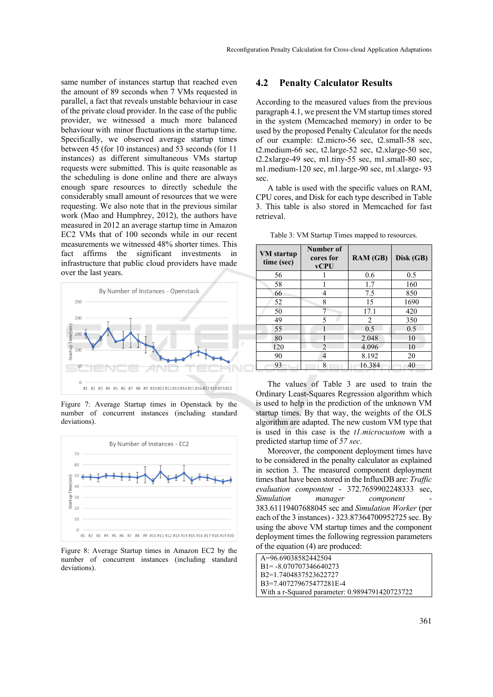same number of instances startup that reached even the amount of 89 seconds when 7 VMs requested in parallel, a fact that reveals unstable behaviour in case of the private cloud provider. In the case of the public provider, we witnessed a much more balanced behaviour with minor fluctuations in the startup time. Specifically, we observed average startup times between 45 (for 10 instances) and 53 seconds (for 11 instances) as different simultaneous VMs startup requests were submitted. This is quite reasonable as the scheduling is done online and there are always enough spare resources to directly schedule the considerably small amount of resources that we were requesting. We also note that in the previous similar work (Mao and Humphrey, 2012), the authors have measured in 2012 an average startup time in Amazon EC2 VMs that of 100 seconds while in our recent measurements we witnessed 48% shorter times. This fact affirms the significant investments in infrastructure that public cloud providers have made over the last years.



Figure 7: Average Startup times in Openstack by the number of concurrent instances (including standard deviations).



Figure 8: Average Startup times in Amazon EC2 by the number of concurrent instances (including standard deviations).

#### **4.2 Penalty Calculator Results**

According to the measured values from the previous paragraph 4.1, we present the VM startup times stored in the system (Memcached memory) in order to be used by the proposed Penalty Calculator for the needs of our example: t2.micro-56 sec, t2.small-58 sec, t2.medium- $66$  sec, t2.large- $52$  sec, t2.xlarge- $50$  sec, t2.2xlarge-49 sec, m1.tiny-55 sec, m1.small-80 sec, m1.medium-120 sec, m1.large-90 sec, m1.xlarge- 93 sec.

A table is used with the specific values on RAM, CPU cores, and Disk for each type described in Table 3. This table is also stored in Memcached for fast retrieval.

| <b>VM</b> startup<br>time (sec) | Number of<br>cores for<br><b>vCPU</b> | RAM (GB) | Disk (GB) |
|---------------------------------|---------------------------------------|----------|-----------|
| 56                              |                                       | 0.6      | 0.5       |
| 58                              |                                       | 1.7      | 160       |
| 66                              | 4                                     | 7.5      | 850       |
| 52                              | 8                                     | 15       | 1690      |
| 50                              |                                       | 17.1     | 420       |
| 49                              | 5                                     | 2        | 350       |
| 55                              |                                       | 0.5      | 0.5       |
| 80                              |                                       | 2.048    | 10        |
| 120                             | $\overline{c}$                        | 4.096    | 10        |
| 90                              | 4                                     | 8.192    | 20        |
| 93                              | 8                                     | 16.384   | 40        |

Table 3: VM Startup Times mapped to resources.

The values of Table 3 are used to train the Ordinary Least-Squares Regression algorithm which is used to help in the prediction of the unknown VM startup times. By that way, the weights of the OLS algorithm are adapted. The new custom VM type that is used in this case is the *t1.microcustom* with a predicted startup time of *57 sec*.

Moreover, the component deployment times have to be considered in the penalty calculator as explained in section 3. The measured component deployment times that have been stored in the InfluxDB are: *Traffic evaluation compontent* - 372.7659902248333 sec, *Simulation manager component* 383.61119407688045 sec and *Simulation Worker* (per each of the 3 instances) - 323.87364700952725 sec. By using the above VM startup times and the component deployment times the following regression parameters of the equation (4) are produced:

| A=9669038582442504                             |  |
|------------------------------------------------|--|
| $B1 = -8.070707346640273$                      |  |
| B <sub>2</sub> =1 7404837523622727             |  |
| B3=7407279675477281E-4                         |  |
| With a r-Squared parameter: 0.9894791420723722 |  |
|                                                |  |